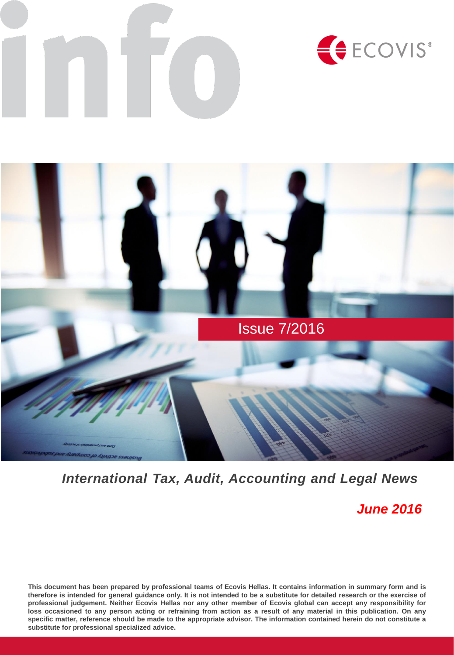



# *International Tax, Audit, Accounting and Legal News*

*June 2016*

This document has been prepared by professional teams of Ecovis Hellas. It contains information in summary form and is therefore is intended for general guidance only. It is not intended to be a substitute for detailed research or the exercise of professional judgement. Neither Ecovis Hellas nor any other member of Ecovis global can accept any responsibility for loss occasioned to any person acting or refraining from action as a result of any material in this publication. On any specific matter, reference should be made to the appropriate advisor. The information contained herein do not constitute a **substitute for professional specialized advice.**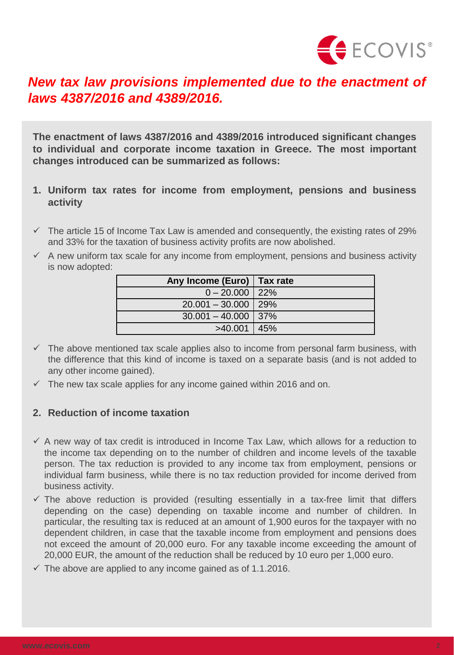

# *laws 4387/2016 and 4389/2016.*

**The enactment of laws 4387/2016 and 4389/2016 introduced significant changes to individual and corporate income taxation in Greece. The most important changes introduced can be summarized as follows:**

- **1. Uniform tax rates for income from employment, pensions and business activity**
- $\checkmark$  The article 15 of Income Tax Law is amended and consequently, the existing rates of 29% and 33% for the taxation of business activity profits are now abolished.
- $\checkmark$  A new uniform tax scale for any income from employment, pensions and business activity is now adopted:

| Any Income (Euro)   Tax rate |  |
|------------------------------|--|
| $0 - 20.000$   22%           |  |
| $20.001 - 30.000$ 29%        |  |
| $30.001 - 40.000$ 37%        |  |
| $>40.001$ 45%                |  |

- $\checkmark$  The above mentioned tax scale applies also to income from personal farm business, with the difference that this kind of income is taxed on a separate basis (and is not added to any other income gained).
- $\checkmark$  The new tax scale applies for any income gained within 2016 and on.

### **2. Reduction of income taxation**

- $\checkmark$  A new way of tax credit is introduced in Income Tax Law, which allows for a reduction to the income tax depending on to the number of children and income levels of the taxable person. The tax reduction is provided to any income tax from employment, pensions or individual farm business, while there is no tax reduction provided for income derived from business activity.
- $\checkmark$  The above reduction is provided (resulting essentially in a tax-free limit that differs depending on the case) depending on taxable income and number of children. In particular, the resulting tax is reduced at an amount of 1,900 euros for the taxpayer with no dependent children, in case that the taxable income from employment and pensions does not exceed the amount of 20,000 euro. For any taxable income exceeding the amount of 20,000 EUR, the amount of the reduction shall be reduced by 10 euro per 1,000 euro. **New tax law provisions implemented due to the enactment of<br>
<b>laws 4387/2016 and 4389/2016.**<br>
The enactment of laws 4387/2016 and 4389/2016 introduced significant changes<br>
to individual and corporate income textation in G
	- $\checkmark$  The above are applied to any income gained as of 1.1.2016.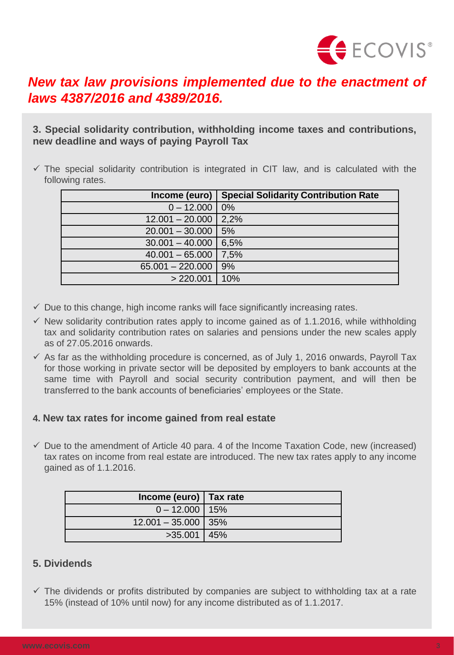

# *laws 4387/2016 and 4389/2016.*

| laws 4387/2016 and 4389/2016.                                                                                                                                                                                                                                                                                                                                                                                                                                                                                                                                                                                                                                                               | New tax law provisions implemented due to the enactment of                                              |  |
|---------------------------------------------------------------------------------------------------------------------------------------------------------------------------------------------------------------------------------------------------------------------------------------------------------------------------------------------------------------------------------------------------------------------------------------------------------------------------------------------------------------------------------------------------------------------------------------------------------------------------------------------------------------------------------------------|---------------------------------------------------------------------------------------------------------|--|
| new deadline and ways of paying Payroll Tax                                                                                                                                                                                                                                                                                                                                                                                                                                                                                                                                                                                                                                                 | 3. Special solidarity contribution, withholding income taxes and contributions,                         |  |
| following rates.                                                                                                                                                                                                                                                                                                                                                                                                                                                                                                                                                                                                                                                                            | $\checkmark$ The special solidarity contribution is integrated in CIT law, and is calculated with the   |  |
| Income (euro)                                                                                                                                                                                                                                                                                                                                                                                                                                                                                                                                                                                                                                                                               | <b>Special Solidarity Contribution Rate</b>                                                             |  |
| $0 - 12.000$                                                                                                                                                                                                                                                                                                                                                                                                                                                                                                                                                                                                                                                                                | 0%                                                                                                      |  |
| $12.001 - 20.000$                                                                                                                                                                                                                                                                                                                                                                                                                                                                                                                                                                                                                                                                           | 2,2%                                                                                                    |  |
| $20.001 - 30.000$                                                                                                                                                                                                                                                                                                                                                                                                                                                                                                                                                                                                                                                                           | 5%                                                                                                      |  |
| $30.001 - 40.000$                                                                                                                                                                                                                                                                                                                                                                                                                                                                                                                                                                                                                                                                           | 6,5%                                                                                                    |  |
| $40.001 - 65.000$                                                                                                                                                                                                                                                                                                                                                                                                                                                                                                                                                                                                                                                                           | 7,5%                                                                                                    |  |
| $65.001 - 220.000$                                                                                                                                                                                                                                                                                                                                                                                                                                                                                                                                                                                                                                                                          | 9%                                                                                                      |  |
| > 220.001                                                                                                                                                                                                                                                                                                                                                                                                                                                                                                                                                                                                                                                                                   | 10%                                                                                                     |  |
| as of 27,05,2016 onwards.<br>$\checkmark$ As far as the withholding procedure is concerned, as of July 1, 2016 onwards, Payroll Tax<br>for those working in private sector will be deposited by employers to bank accounts at the<br>same time with Payroll and social security contribution payment, and will then be<br>transferred to the bank accounts of beneficiaries' employees or the State.<br>4. New tax rates for income gained from real estate<br>$\checkmark$ Due to the amendment of Article 40 para. 4 of the Income Taxation Code, new (increased)<br>tax rates on income from real estate are introduced. The new tax rates apply to any income<br>gained as of 1.1.2016. |                                                                                                         |  |
| Income (euro)                                                                                                                                                                                                                                                                                                                                                                                                                                                                                                                                                                                                                                                                               | <b>Tax rate</b>                                                                                         |  |
| $0 - 12.000$                                                                                                                                                                                                                                                                                                                                                                                                                                                                                                                                                                                                                                                                                | 15%                                                                                                     |  |
| $12.001 - 35.000$                                                                                                                                                                                                                                                                                                                                                                                                                                                                                                                                                                                                                                                                           | 35%                                                                                                     |  |
| >35.001                                                                                                                                                                                                                                                                                                                                                                                                                                                                                                                                                                                                                                                                                     | 45%                                                                                                     |  |
| 5. Dividends<br>15% (instead of 10% until now) for any income distributed as of 1.1.2017.                                                                                                                                                                                                                                                                                                                                                                                                                                                                                                                                                                                                   | $\checkmark$ The dividends or profits distributed by companies are subject to withholding tax at a rate |  |
|                                                                                                                                                                                                                                                                                                                                                                                                                                                                                                                                                                                                                                                                                             |                                                                                                         |  |
| www.ecovis.com                                                                                                                                                                                                                                                                                                                                                                                                                                                                                                                                                                                                                                                                              |                                                                                                         |  |

- $\checkmark$  Due to this change, high income ranks will face significantly increasing rates.
- $\checkmark$  New solidarity contribution rates apply to income gained as of 1.1.2016, while withholding tax and solidarity contribution rates on salaries and pensions under the new scales apply as of 27.05.2016 onwards.
- $\checkmark$  As far as the withholding procedure is concerned, as of July 1, 2016 onwards, Payroll Tax for those working in private sector will be deposited by employers to bank accounts at the same time with Payroll and social security contribution payment, and will then be transferred to the bank accounts of beneficiaries' employees or the State.

#### **4. New tax rates for income gained from real estate**

| Income (euro) $\vert$ Tax rate |  |
|--------------------------------|--|
| $0 - 12.000$   15%             |  |
| $12.001 - 35.000$ 35%          |  |
| $>35.001$ 45%                  |  |

#### **5. Dividends**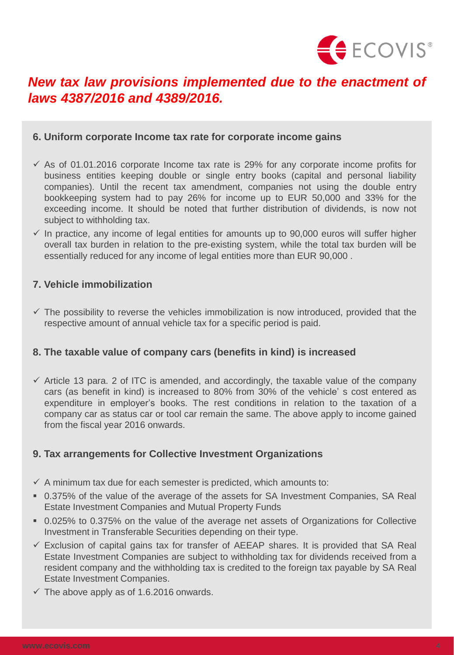

## *New tax law provisions implemented due to the enactment of laws 4387/2016 and 4389/2016.*

#### **6. Uniform corporate Income tax rate for corporate income gains**

- $\checkmark$  As of 01.01.2016 corporate Income tax rate is 29% for any corporate income profits for business entities keeping double or single entry books (capital and personal liability companies). Until the recent tax amendment, companies not using the double entry bookkeeping system had to pay 26% for income up to EUR 50,000 and 33% for the exceeding income. It should be noted that further distribution of dividends, is now not subject to withholding tax.
- $\checkmark$  In practice, any income of legal entities for amounts up to 90,000 euros will suffer higher overall tax burden in relation to the pre-existing system, while the total tax burden will be essentially reduced for any income of legal entities more than EUR 90,000 .

#### **7. Vehicle immobilization**

 $\checkmark$  The possibility to reverse the vehicles immobilization is now introduced, provided that the respective amount of annual vehicle tax for a specific period is paid.

#### **8. The taxable value of company cars (benefits in kind) is increased**

 $\checkmark$  Article 13 para. 2 of ITC is amended, and accordingly, the taxable value of the company cars (as benefit in kind) is increased to 80% from 30% of the vehicle' s cost entered as expenditure in employer's books. The rest conditions in relation to the taxation of a company car as status car or tool car remain the same. The above apply to income gained from the fiscal year 2016 onwards.

### **9. Tax arrangements for Collective Investment Organizations**

- $\checkmark$  A minimum tax due for each semester is predicted, which amounts to:
- 0.375% of the value of the average of the assets for SA Investment Companies, SA Real Estate Investment Companies and Mutual Property Funds
- 0.025% to 0.375% on the value of the average net assets of Organizations for Collective Investment in Transferable Securities depending on their type.
- $\checkmark$  Exclusion of capital gains tax for transfer of AEEAP shares. It is provided that SA Real Estate Investment Companies are subject to withholding tax for dividends received from a resident company and the withholding tax is credited to the foreign tax payable by SA Real Estate Investment Companies.
- $\checkmark$  The above apply as of 1.6.2016 onwards.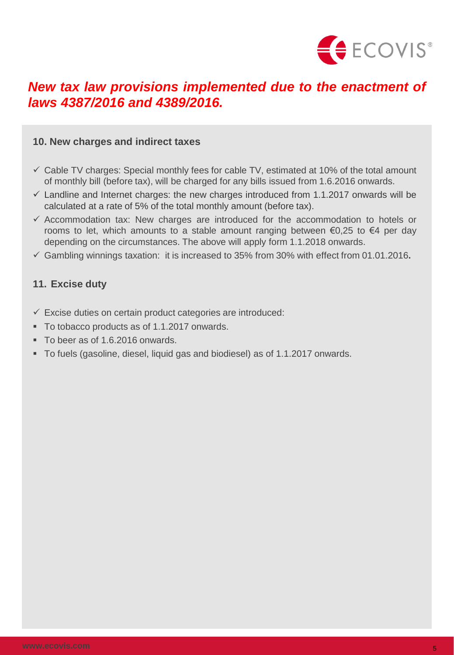

## *New tax law provisions implemented due to the enactment of laws 4387/2016 and 4389/2016.*

#### **10. New charges and indirect taxes**

- $\checkmark$  Cable TV charges: Special monthly fees for cable TV, estimated at 10% of the total amount of monthly bill (before tax), will be charged for any bills issued from 1.6.2016 onwards.
- $\checkmark$  Landline and Internet charges: the new charges introduced from 1.1.2017 onwards will be calculated at a rate of 5% of the total monthly amount (before tax).
- $\checkmark$  Accommodation tax: New charges are introduced for the accommodation to hotels or rooms to let, which amounts to a stable amount ranging between €0,25 to €4 per day depending on the circumstances. The above will apply form 1.1.2018 onwards.
- Gambling winnings taxation: it is increased to 35% from 30% with effect from 01.01.2016**.**

#### **11. Excise duty**

- $\checkmark$  Excise duties on certain product categories are introduced:
- To tobacco products as of 1.1.2017 onwards.
- To beer as of 1.6.2016 onwards.
- To fuels (gasoline, diesel, liquid gas and biodiesel) as of 1.1.2017 onwards.